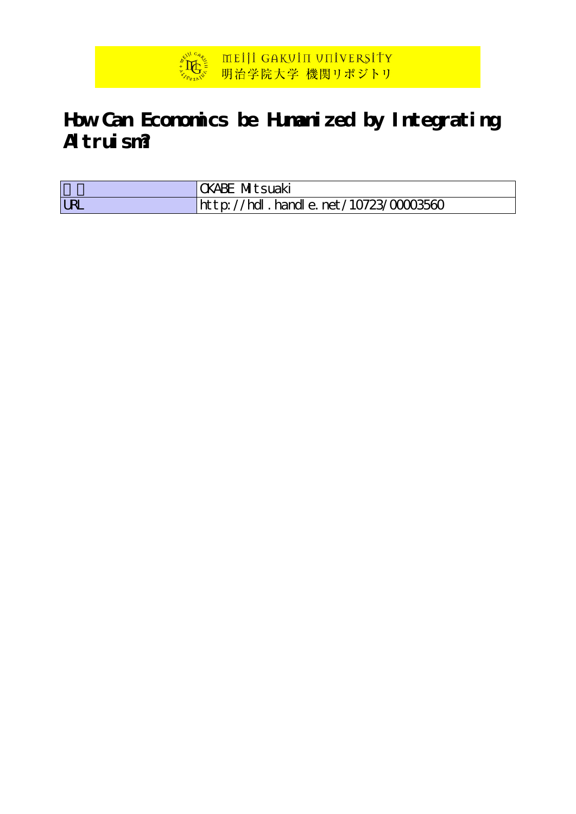

# **How Can Economics be Humanized by Integrating Altruism?**

|    | Mitsuaki<br>KABE                             |
|----|----------------------------------------------|
| IR | hdl . handl e. net / 10723/00003560<br>htb'/ |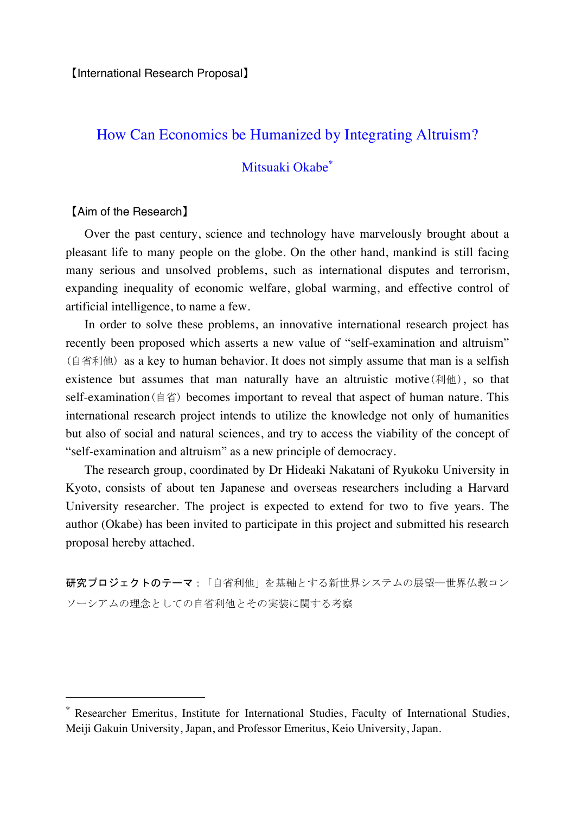## How Can Economics be Humanized by Integrating Altruism?

## Mitsuaki Okabe<sup>∗</sup>

#### 【Aim of the Research】

l

 Over the past century, science and technology have marvelously brought about a pleasant life to many people on the globe. On the other hand, mankind is still facing many serious and unsolved problems, such as international disputes and terrorism, expanding inequality of economic welfare, global warming, and effective control of artificial intelligence, to name a few.

 In order to solve these problems, an innovative international research project has recently been proposed which asserts a new value of "self-examination and altruism" (自省利他) as a key to human behavior. It does not simply assume that man is a selfish existence but assumes that man naturally have an altruistic motive(利他), so that self-examination(自省) becomes important to reveal that aspect of human nature. This international research project intends to utilize the knowledge not only of humanities but also of social and natural sciences, and try to access the viability of the concept of "self-examination and altruism" as a new principle of democracy.

 The research group, coordinated by Dr Hideaki Nakatani of Ryukoku University in Kyoto, consists of about ten Japanese and overseas researchers including a Harvard University researcher. The project is expected to extend for two to five years. The author (Okabe) has been invited to participate in this project and submitted his research proposal hereby attached.

研究プロジェクトのテーマ:「自省利他」を基軸とする新世界システムの展望―世界仏教コン ソーシアムの理念としての自省利他とその実装に関する考察

Researcher Emeritus, Institute for International Studies, Faculty of International Studies, Meiji Gakuin University, Japan, and Professor Emeritus, Keio University, Japan.